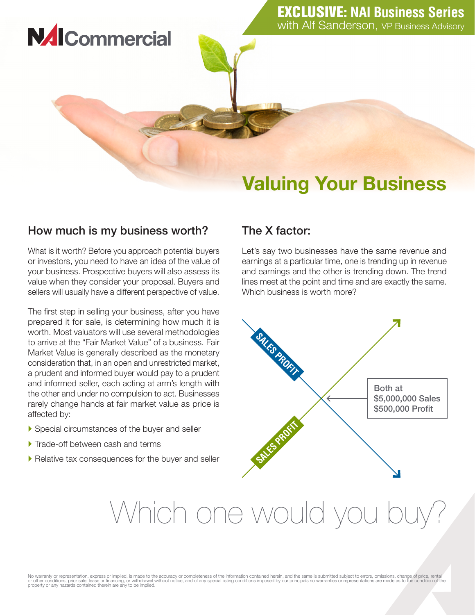## Valuing Your Business

### How much is my business worth?

**NAICommercial** 

What is it worth? Before you approach potential buyers or investors, you need to have an idea of the value of your business. Prospective buyers will also assess its value when they consider your proposal. Buyers and sellers will usually have a different perspective of value.

The first step in selling your business, after you have prepared it for sale, is determining how much it is worth. Most valuators will use several methodologies to arrive at the "Fair Market Value" of a business. Fair Market Value is generally described as the monetary consideration that, in an open and unrestricted market, a prudent and informed buyer would pay to a prudent and informed seller, each acting at arm's length with the other and under no compulsion to act. Businesses rarely change hands at fair market value as price is affected by:

- ` Special circumstances of the buyer and seller
- Trade-off between cash and terms
- $\blacktriangleright$  Relative tax consequences for the buyer and seller

### The X factor:

Let's say two businesses have the same revenue and earnings at a particular time, one is trending up in revenue and earnings and the other is trending down. The trend lines meet at the point and time and are exactly the same. Which business is worth more?



# Which one would you buy?

No warranty or representation, express or implied, is made to the accuracy or completeness of the information contained herein, and the same is submitted subject to errors, omissions, change of price, rental<br>or other condi property or any hazards contained therein are any to be implied.